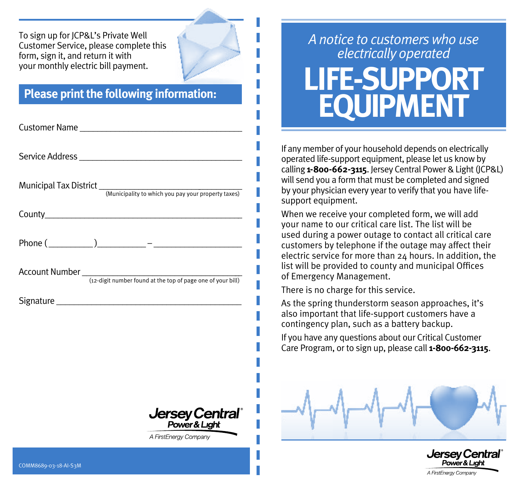To sign up for JCP&L's Private Well Customer Service, please complete this form, sign it, and return it with your monthly electric bill payment.

## **Please print the following information:**

| Customer Name                                                       |
|---------------------------------------------------------------------|
|                                                                     |
|                                                                     |
|                                                                     |
|                                                                     |
|                                                                     |
|                                                                     |
|                                                                     |
|                                                                     |
|                                                                     |
|                                                                     |
| Jersey Central <sup>®</sup><br>Power&Light<br>A FirstEnergy Company |
|                                                                     |

## *A notice to customers who use electrically operated* **LIFE-SUPPORT EQUIPMENT**

If any member of your household depends on electrically operated life-support equipment, please let us know by calling **1-800-662-3115**. Jersey Central Power & Light (JCP&L) will send you a form that must be completed and signed by your physician every year to verify that you have lifesupport equipment.

When we receive your completed form, we will add your name to our critical care list. The list will be used during a power outage to contact all critical care customers by telephone if the outage may affect their electric service for more than 24 hours. In addition, the list will be provided to county and municipal Offices of Emergency Management.

There is no charge for this service.

As the spring thunderstorm season approaches, it's also important that life-support customers have a contingency plan, such as a battery backup.

If you have any questions about our Critical Customer Care Program, or to sign up, please call **1-800-662-3115**.